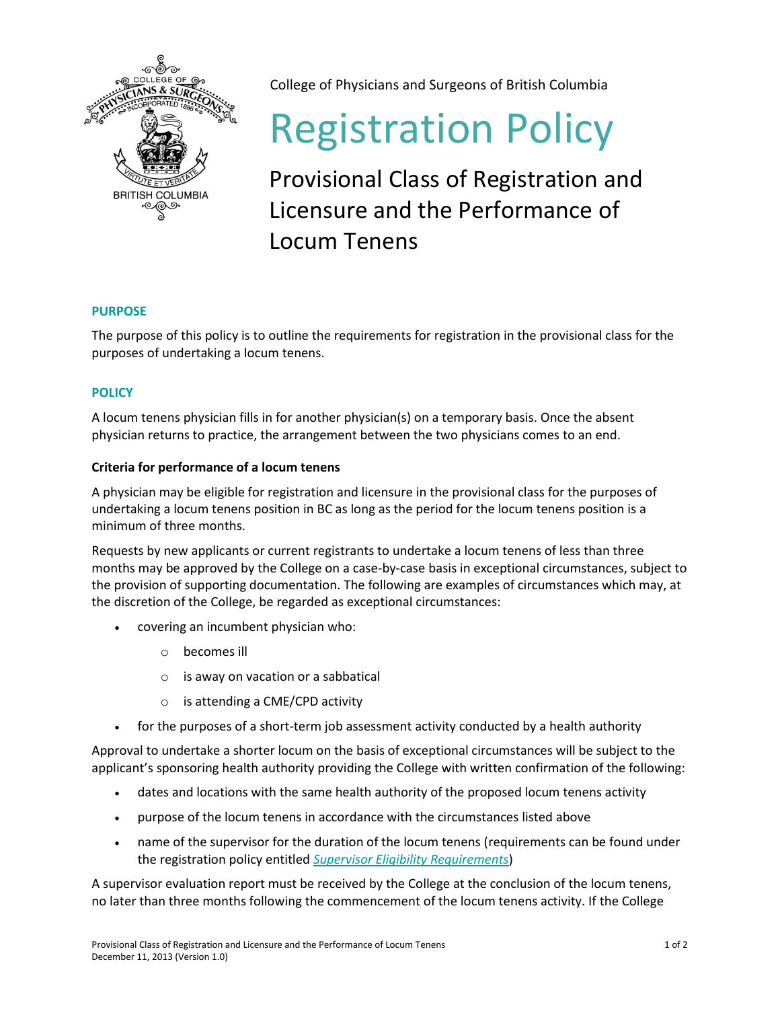

College of Physicians and Surgeons of British Columbia

# Registration Policy

Provisional Class of Registration and Licensure and the Performance of Locum Tenens

## **PURPOSE**

The purpose of this policy is to outline the requirements for registration in the provisional class for the purposes of undertaking a locum tenens.

# **POLICY**

A locum tenens physician fills in for another physician(s) on a temporary basis. Once the absent physician returns to practice, the arrangement between the two physicians comes to an end.

## **Criteria for performance of a locum tenens**

A physician may be eligible for registration and licensure in the provisional class for the purposes of undertaking a locum tenens position in BC as long as the period for the locum tenens position is a minimum of three months.

Requests by new applicants or current registrants to undertake a locum tenens of less than three months may be approved by the College on a case-by-case basis in exceptional circumstances, subject to the provision of supporting documentation. The following are examples of circumstances which may, at the discretion of the College, be regarded as exceptional circumstances:

- covering an incumbent physician who:
	- o becomes ill
	- $\circ$  is away on vacation or a sabbatical
	- o is attending a CME/CPD activity
- for the purposes of a short-term job assessment activity conducted by a health authority

Approval to undertake a shorter locum on the basis of exceptional circumstances will be subject to the applicant's sponsoring health authority providing the College with written confirmation of the following:

- dates and locations with the same health authority of the proposed locum tenens activity
- purpose of the locum tenens in accordance with the circumstances listed above
- name of the supervisor for the duration of the locum tenens (requirements can be found under the registration policy entitled *[Supervisor Eligibility Requirements](https://www.cpsbc.ca/files/pdf/RP-Supervisor-Eligibility-Requirements.pdf)*)

A supervisor evaluation report must be received by the College at the conclusion of the locum tenens, no later than three months following the commencement of the locum tenens activity. If the College